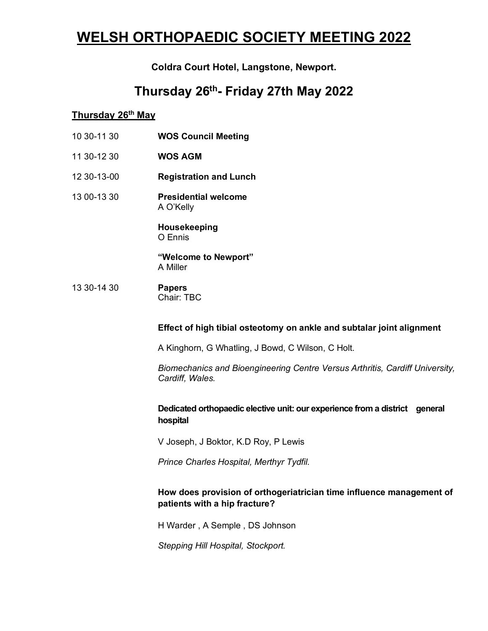# **WELSH ORTHOPAEDIC SOCIETY MEETING 2022**

## **Coldra Court Hotel, Langstone, Newport.**

## **Thursday 26th - Friday 27th May 2022**

## **Thursday 26th May**

- 10 30-11 30 **WOS Council Meeting**
- 11 30-12 30 **WOS AGM**
- 12 30-13-00 **Registration and Lunch**
- 13 00-13 30 **Presidential welcome**  A O'Kelly

**Housekeeping** O Ennis

**"Welcome to Newport"**  A Miller

13 30-14 30 **Papers** Chair: TBC

#### **Effect of high tibial osteotomy on ankle and subtalar joint alignment**

A Kinghorn, G Whatling, J Bowd, C Wilson, C Holt.

*Biomechanics and Bioengineering Centre Versus Arthritis, Cardiff University, Cardiff, Wales.*

### **Dedicated orthopaedic elective unit: our experience from a district general hospital**

V Joseph, J Boktor, K.D Roy, P Lewis

*Prince Charles Hospital, Merthyr Tydfil.* 

## **How does provision of orthogeriatrician time influence management of patients with a hip fracture?**

H Warder , A Semple , DS Johnson

*Stepping Hill Hospital, Stockport.*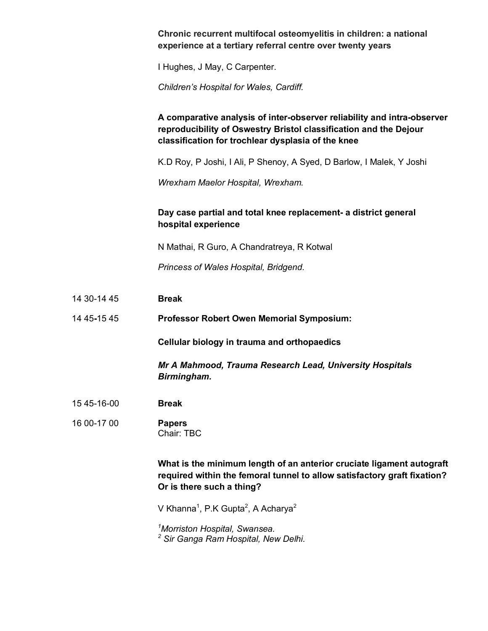#### **Chronic recurrent multifocal osteomyelitis in children: a national experience at a tertiary referral centre over twenty years**

I Hughes, J May, C Carpenter.

*Children's Hospital for Wales, Cardiff.* 

## **A comparative analysis of inter-observer reliability and intra-observer reproducibility of Oswestry Bristol classification and the Dejour classification for trochlear dysplasia of the knee**

K.D Roy, P Joshi, I Ali, P Shenoy, A Syed, D Barlow, I Malek, Y Joshi

*Wrexham Maelor Hospital, Wrexham.* 

## **Day case partial and total knee replacement- a district general hospital experience**

N Mathai, R Guro, A Chandratreya, R Kotwal

*Princess of Wales Hospital, Bridgend.* 

14 30-14 45 **Break**

14 45**-**15 45 **Professor Robert Owen Memorial Symposium:** 

**Cellular biology in trauma and orthopaedics**

*Mr A Mahmood, Trauma Research Lead, University Hospitals Birmingham.*

- 15 45-16-00 **Break**
- 16 00-17 00 **Papers** Chair: TBC

**What is the minimum length of an anterior cruciate ligament autograft required within the femoral tunnel to allow satisfactory graft fixation? Or is there such a thing?**

V Khanna<sup>1</sup>, P.K Gupta<sup>2</sup>, A Acharya<sup>2</sup>

*<sup>1</sup>Morriston Hospital, Swansea. <sup>2</sup> Sir Ganga Ram Hospital, New Delhi.*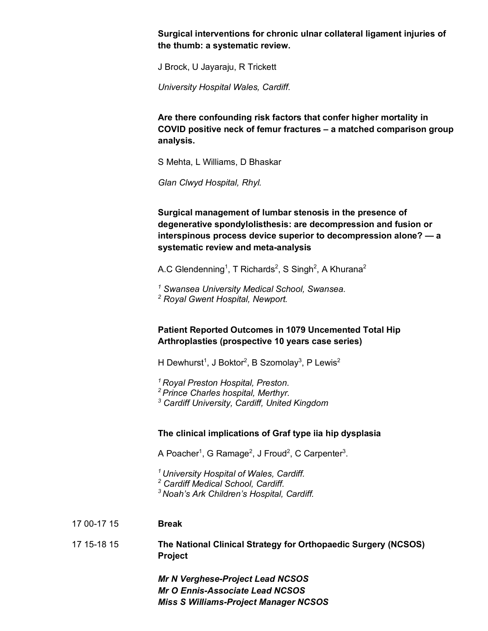**Surgical interventions for chronic ulnar collateral ligament injuries of the thumb: a systematic review.** 

J Brock, U Jayaraju, R Trickett

*University Hospital Wales, Cardiff.* 

**Are there confounding risk factors that confer higher mortality in COVID positive neck of femur fractures – a matched comparison group analysis.** 

S Mehta, L Williams, D Bhaskar

*Glan Clwyd Hospital, Rhyl.* 

**Surgical management of lumbar stenosis in the presence of degenerative spondylolisthesis: are decompression and fusion or interspinous process device superior to decompression alone? — a systematic review and meta-analysis**

A.C Glendenning<sup>1</sup>, T Richards<sup>2</sup>, S Singh<sup>2</sup>, A Khurana<sup>2</sup>

*1 Swansea University Medical School, Swansea. 2 Royal Gwent Hospital, Newport.* 

#### **Patient Reported Outcomes in 1079 Uncemented Total Hip Arthroplasties (prospective 10 years case series)**

H Dewhurst $^1$ , J Boktor $^2$ , B Szomolay $^3$ , P Lewis $^2$ 

*<sup>1</sup>Royal Preston Hospital, Preston.* 

*<sup>2</sup>Prince Charles hospital, Merthyr.* 

*3 Cardiff University, Cardiff, United Kingdom* 

#### **The clinical implications of Graf type iia hip dysplasia**

A Poacher<sup>1</sup>, G Ramage<sup>2</sup>, J Froud<sup>2</sup>, C Carpenter<sup>3</sup>.

*<sup>1</sup>University Hospital of Wales, Cardiff.* 

*<sup>2</sup> Cardiff Medical School, Cardiff.* 

*<sup>3</sup>Noah's Ark Children's Hospital, Cardiff.* 

17 00-17 15 **Break**

17 15-18 15 **The National Clinical Strategy for Orthopaedic Surgery (NCSOS) Project**

> *Mr N Verghese-Project Lead NCSOS Mr O Ennis-Associate Lead NCSOS Miss S Williams-Project Manager NCSOS*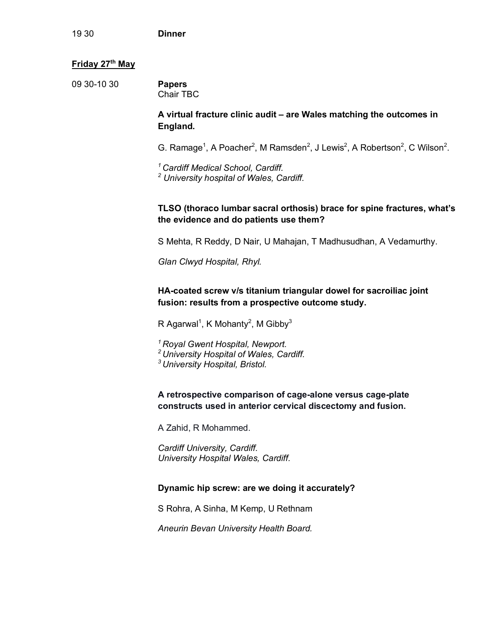#### **Friday 27th May**

09 30-10 30 **Papers** Chair TBC

### **A virtual fracture clinic audit – are Wales matching the outcomes in England.**

G. Ramage<sup>1</sup>, A Poacher<sup>2</sup>, M Ramsden<sup>2</sup>, J Lewis<sup>2</sup>, A Robertson<sup>2</sup>, C Wilson<sup>2</sup>.

*<sup>1</sup>Cardiff Medical School, Cardiff. 2 University hospital of Wales, Cardiff.* 

## **TLSO (thoraco lumbar sacral orthosis) brace for spine fractures, what's the evidence and do patients use them?**

S Mehta, R Reddy, D Nair, U Mahajan, T Madhusudhan, A Vedamurthy.

*Glan Clwyd Hospital, Rhyl.* 

**HA-coated screw v/s titanium triangular dowel for sacroiliac joint fusion: results from a prospective outcome study.** 

R Agarwal<sup>1</sup>, K Mohanty<sup>2</sup>, M Gibby<sup>3</sup>

- *<sup>1</sup>Royal Gwent Hospital, Newport.*
- *<sup>2</sup>University Hospital of Wales, Cardiff.*

*<sup>3</sup>University Hospital, Bristol.* 

**A retrospective comparison of cage-alone versus cage-plate constructs used in anterior cervical discectomy and fusion.**

A Zahid, R Mohammed.

*Cardiff University, Cardiff. University Hospital Wales, Cardiff.* 

#### **Dynamic hip screw: are we doing it accurately?**

S Rohra, A Sinha, M Kemp, U Rethnam

*Aneurin Bevan University Health Board.*